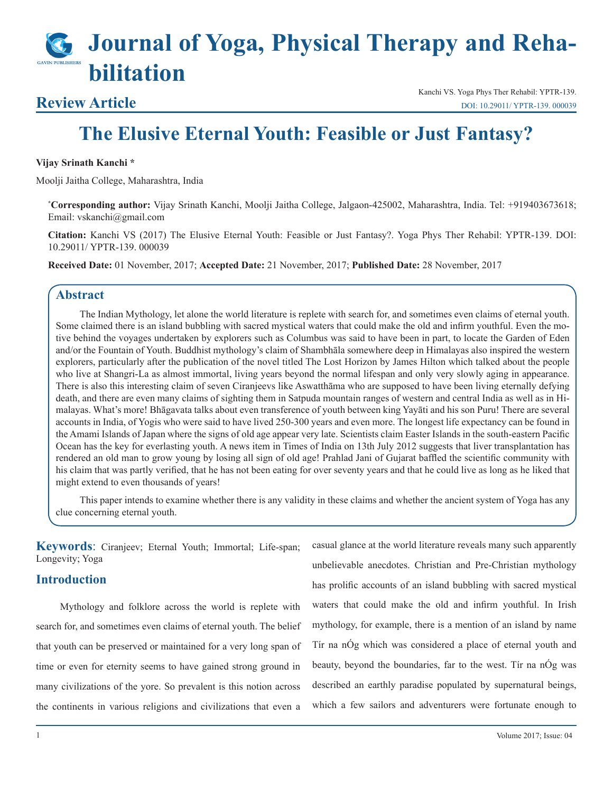# **Journal of Yoga, Physical Therapy and Rehabilitation**

### **Review Article**

Kanchi VS. Yoga Phys Ther Rehabil: YPTR-139. [DOI: 10.29011/ YPTR-139. 000039](10.29011/ YPTR-139. 000039)

## **The Elusive Eternal Youth: Feasible or Just Fantasy?**

#### **Vijay Srinath Kanchi \***

Moolji Jaitha College, Maharashtra, India

**\* Corresponding author:** Vijay Srinath Kanchi, Moolji Jaitha College, Jalgaon-425002, Maharashtra, India. Tel: +919403673618; Email: vskanchi@gmail.com

**Citation:** Kanchi VS (2017) The Elusive Eternal Youth: Feasible or Just Fantasy?. Yoga Phys Ther Rehabil: YPTR-139. DOI: 10.29011/ YPTR-139. 000039

**Received Date:** 01 November, 2017; **Accepted Date:** 21 November, 2017; **Published Date:** 28 November, 2017

#### **Abstract**

The Indian Mythology, let alone the world literature is replete with search for, and sometimes even claims of eternal youth. Some claimed there is an island bubbling with sacred mystical waters that could make the old and infirm youthful. Even the motive behind the voyages undertaken by explorers such as Columbus was said to have been in part, to locate the Garden of Eden and/or the Fountain of Youth. Buddhist mythology's claim of Shambhāla somewhere deep in Himalayas also inspired the western explorers, particularly after the publication of the novel titled The Lost Horizon by James Hilton which talked about the people who live at Shangri-La as almost immortal, living years beyond the normal lifespan and only very slowly aging in appearance. There is also this interesting claim of seven Ciranjeevs like Aswatthāma who are supposed to have been living eternally defying death, and there are even many claims of sighting them in Satpuda mountain ranges of western and central India as well as in Himalayas. What's more! Bhāgavata talks about even transference of youth between king Yayāti and his son Puru! There are several accounts in India, of Yogis who were said to have lived 250-300 years and even more. The longest life expectancy can be found in the Amami Islands of Japan where the signs of old age appear very late. Scientists claim Easter Islands in the south-eastern Pacific Ocean has the key for everlasting youth. A news item in Times of India on 13th July 2012 suggests that liver transplantation has rendered an old man to grow young by losing all sign of old age! Prahlad Jani of Gujarat baffled the scientific community with his claim that was partly verified, that he has not been eating for over seventy years and that he could live as long as he liked that might extend to even thousands of years!

This paper intends to examine whether there is any validity in these claims and whether the ancient system of Yoga has any clue concerning eternal youth.

**Keywords**: Ciranjeev; Eternal Youth; Immortal; Life-span; Longevity; Yoga

#### **Introduction**

Mythology and folklore across the world is replete with search for, and sometimes even claims of eternal youth. The belief that youth can be preserved or maintained for a very long span of time or even for eternity seems to have gained strong ground in many civilizations of the yore. So prevalent is this notion across the continents in various religions and civilizations that even a

casual glance at the world literature reveals many such apparently unbelievable anecdotes. Christian and Pre-Christian mythology has prolific accounts of an island bubbling with sacred mystical waters that could make the old and infirm youthful. In Irish mythology, for example, there is a mention of an island by name Tír na nÓg which was considered a place of eternal youth and beauty, beyond the boundaries, far to the west. Tír na nÓg was described an earthly paradise populated by supernatural beings, which a few sailors and adventurers were fortunate enough to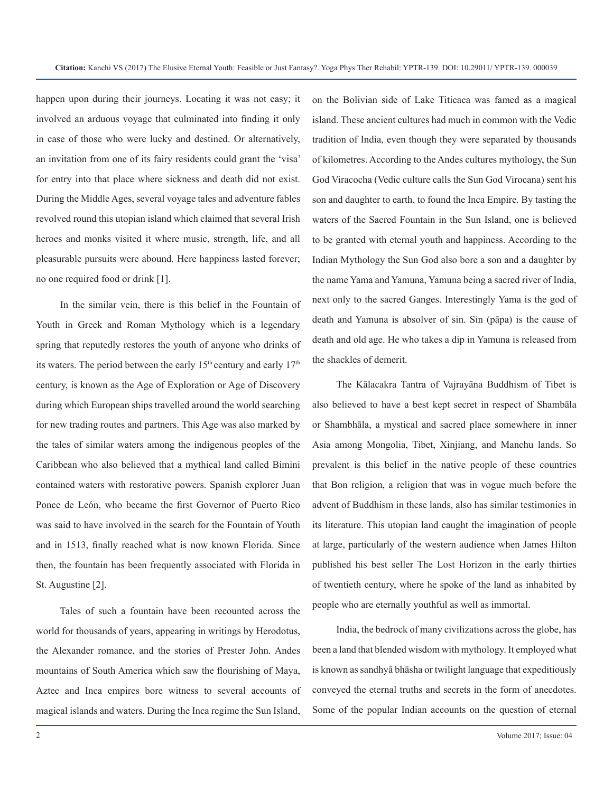happen upon during their journeys. Locating it was not easy; it involved an arduous voyage that culminated into finding it only in case of those who were lucky and destined. Or alternatively, an invitation from one of its fairy residents could grant the 'visa' for entry into that place where sickness and death did not exist. During the Middle Ages, several voyage tales and adventure fables revolved round this utopian island which claimed that several Irish heroes and monks visited it where music, strength, life, and all pleasurable pursuits were abound. Here happiness lasted forever; no one required food or drink [1].

In the similar vein, there is this belief in the Fountain of Youth in Greek and Roman Mythology which is a legendary spring that reputedly restores the youth of anyone who drinks of its waters. The period between the early  $15<sup>th</sup>$  century and early  $17<sup>th</sup>$ century, is known as the Age of Exploration or Age of Discovery during which European ships travelled around the world searching for new trading routes and partners. This Age was also marked by the tales of similar waters among the indigenous peoples of the Caribbean who also believed that a mythical land called Bimini contained waters with restorative powers. Spanish explorer Juan Ponce de León, who became the first Governor of Puerto Rico was said to have involved in the search for the Fountain of Youth and in 1513, finally reached what is now known Florida. Since then, the fountain has been frequently associated with Florida in St. Augustine [2].

Tales of such a fountain have been recounted across the world for thousands of years, appearing in writings by Herodotus, the Alexander romance, and the stories of Prester John. Andes mountains of South America which saw the flourishing of Maya, Aztec and Inca empires bore witness to several accounts of magical islands and waters. During the Inca regime the Sun Island,

on the Bolivian side of Lake Titicaca was famed as a magical island. These ancient cultures had much in common with the Vedic tradition of India, even though they were separated by thousands of kilometres. According to the Andes cultures mythology, the Sun God Viracocha (Vedic culture calls the Sun God Virocana) sent his son and daughter to earth, to found the Inca Empire. By tasting the waters of the Sacred Fountain in the Sun Island, one is believed to be granted with eternal youth and happiness. According to the Indian Mythology the Sun God also bore a son and a daughter by the name Yama and Yamuna, Yamuna being a sacred river of India, next only to the sacred Ganges. Interestingly Yama is the god of death and Yamuna is absolver of sin. Sin (pāpa) is the cause of death and old age. He who takes a dip in Yamuna is released from the shackles of demerit.

The Kālacakra Tantra of Vajrayāna Buddhism of Tibet is also believed to have a best kept secret in respect of Shambāla or Shambhāla, a mystical and sacred place somewhere in inner Asia among Mongolia, Tibet, Xinjiang, and Manchu lands. So prevalent is this belief in the native people of these countries that Bon religion, a religion that was in vogue much before the advent of Buddhism in these lands, also has similar testimonies in its literature. This utopian land caught the imagination of people at large, particularly of the western audience when James Hilton published his best seller The Lost Horizon in the early thirties of twentieth century, where he spoke of the land as inhabited by people who are eternally youthful as well as immortal.

India, the bedrock of many civilizations across the globe, has been a land that blended wisdom with mythology. It employed what is known as sandhyā bhāsha or twilight language that expeditiously conveyed the eternal truths and secrets in the form of anecdotes. Some of the popular Indian accounts on the question of eternal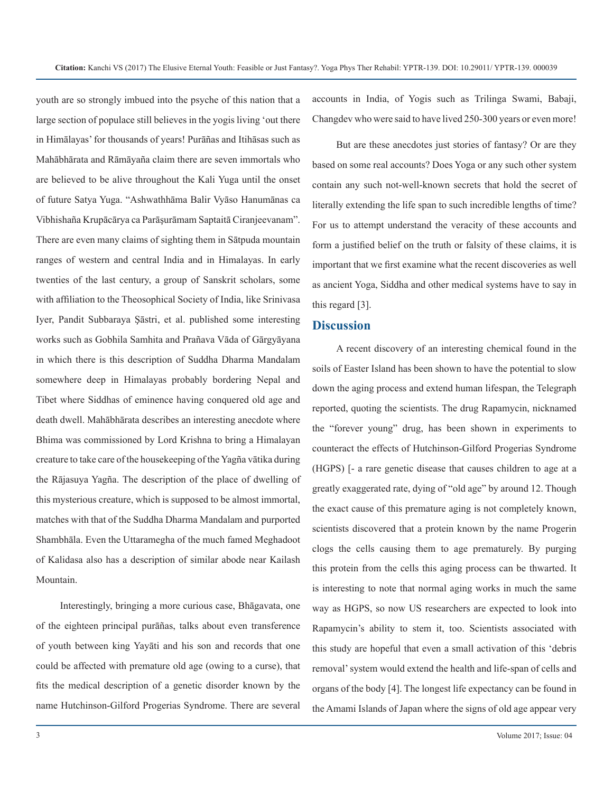youth are so strongly imbued into the psyche of this nation that a large section of populace still believes in the yogis living 'out there in Himālayas' for thousands of years! Purāñas and Itihāsas such as Mahābhārata and Rāmāyaña claim there are seven immortals who are believed to be alive throughout the Kali Yuga until the onset of future Satya Yuga. "Ashwathhāma Balir Vyāso Hanumānas ca Vibhishaña Krupācārya ca Parāşurāmam Saptaitā Ciranjeevanam". There are even many claims of sighting them in Sātpuda mountain ranges of western and central India and in Himalayas. In early twenties of the last century, a group of Sanskrit scholars, some with affiliation to the Theosophical Society of India, like Srinivasa Iyer, Pandit Subbaraya Şāstri, et al. published some interesting works such as Gobhila Samhita and Prañava Vāda of Gārgyāyana in which there is this description of Suddha Dharma Mandalam somewhere deep in Himalayas probably bordering Nepal and Tibet where Siddhas of eminence having conquered old age and death dwell. Mahābhārata describes an interesting anecdote where Bhima was commissioned by Lord Krishna to bring a Himalayan creature to take care of the housekeeping of the Yagña vātika during the Rājasuya Yagña. The description of the place of dwelling of this mysterious creature, which is supposed to be almost immortal, matches with that of the Suddha Dharma Mandalam and purported Shambhāla. Even the Uttaramegha of the much famed Meghadoot of Kalidasa also has a description of similar abode near Kailash Mountain.

Interestingly, bringing a more curious case, Bhāgavata, one of the eighteen principal purāñas, talks about even transference of youth between king Yayāti and his son and records that one could be affected with premature old age (owing to a curse), that fits the medical description of a genetic disorder known by the name Hutchinson-Gilford Progerias Syndrome. There are several

accounts in India, of Yogis such as Trilinga Swami, Babaji, Changdev who were said to have lived 250-300 years or even more!

But are these anecdotes just stories of fantasy? Or are they based on some real accounts? Does Yoga or any such other system contain any such not-well-known secrets that hold the secret of literally extending the life span to such incredible lengths of time? For us to attempt understand the veracity of these accounts and form a justified belief on the truth or falsity of these claims, it is important that we first examine what the recent discoveries as well as ancient Yoga, Siddha and other medical systems have to say in this regard [3].

#### **Discussion**

A recent discovery of an interesting chemical found in the soils of Easter Island has been shown to have the potential to slow down the aging process and extend human lifespan, the Telegraph reported, quoting the scientists. The drug Rapamycin, nicknamed the "forever young" drug, has been shown in experiments to counteract the effects of Hutchinson-Gilford Progerias Syndrome (HGPS) [- a rare genetic disease that causes children to age at a greatly exaggerated rate, dying of "old age" by around 12. Though the exact cause of this premature aging is not completely known, scientists discovered that a protein known by the name Progerin clogs the cells causing them to age prematurely. By purging this protein from the cells this aging process can be thwarted. It is interesting to note that normal aging works in much the same way as HGPS, so now US researchers are expected to look into Rapamycin's ability to stem it, too. Scientists associated with this study are hopeful that even a small activation of this 'debris removal' system would extend the health and life-span of cells and organs of the body [4]. The longest life expectancy can be found in the Amami Islands of Japan where the signs of old age appear very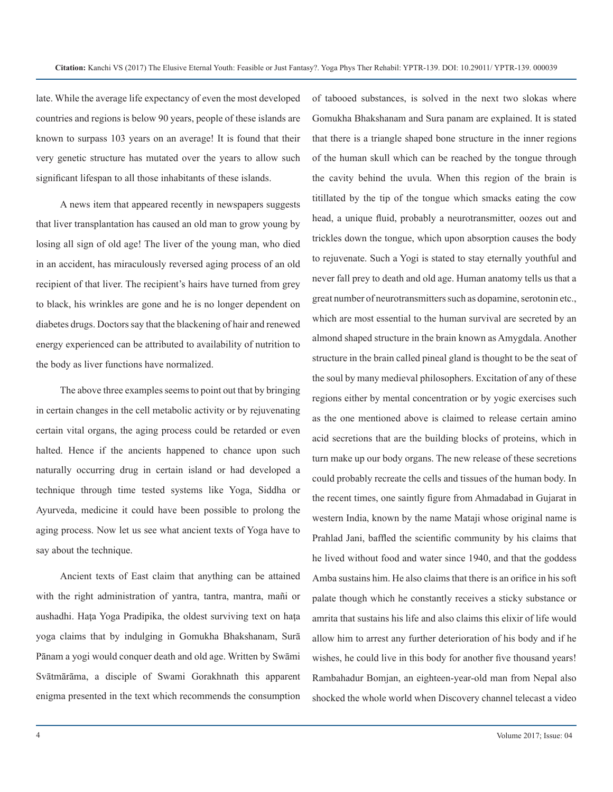late. While the average life expectancy of even the most developed countries and regions is below 90 years, people of these islands are known to surpass 103 years on an average! It is found that their very genetic structure has mutated over the years to allow such significant lifespan to all those inhabitants of these islands.

A news item that appeared recently in newspapers suggests that liver transplantation has caused an old man to grow young by losing all sign of old age! The liver of the young man, who died in an accident, has miraculously reversed aging process of an old recipient of that liver. The recipient's hairs have turned from grey to black, his wrinkles are gone and he is no longer dependent on diabetes drugs. Doctors say that the blackening of hair and renewed energy experienced can be attributed to availability of nutrition to the body as liver functions have normalized.

The above three examples seems to point out that by bringing in certain changes in the cell metabolic activity or by rejuvenating certain vital organs, the aging process could be retarded or even halted. Hence if the ancients happened to chance upon such naturally occurring drug in certain island or had developed a technique through time tested systems like Yoga, Siddha or Ayurveda, medicine it could have been possible to prolong the aging process. Now let us see what ancient texts of Yoga have to say about the technique.

Ancient texts of East claim that anything can be attained with the right administration of yantra, tantra, mantra, mañi or aushadhi. Haţa Yoga Pradipika, the oldest surviving text on haţa yoga claims that by indulging in Gomukha Bhakshanam, Surā Pānam a yogi would conquer death and old age. Written by Swāmi Svātmārāma, a disciple of Swami Gorakhnath this apparent enigma presented in the text which recommends the consumption of tabooed substances, is solved in the next two slokas where Gomukha Bhakshanam and Sura panam are explained. It is stated that there is a triangle shaped bone structure in the inner regions of the human skull which can be reached by the tongue through the cavity behind the uvula. When this region of the brain is titillated by the tip of the tongue which smacks eating the cow head, a unique fluid, probably a neurotransmitter, oozes out and trickles down the tongue, which upon absorption causes the body to rejuvenate. Such a Yogi is stated to stay eternally youthful and never fall prey to death and old age. Human anatomy tells us that a great number of neurotransmitters such as dopamine, serotonin etc., which are most essential to the human survival are secreted by an almond shaped structure in the brain known as Amygdala. Another structure in the brain called pineal gland is thought to be the seat of the soul by many medieval philosophers. Excitation of any of these regions either by mental concentration or by yogic exercises such as the one mentioned above is claimed to release certain amino acid secretions that are the building blocks of proteins, which in turn make up our body organs. The new release of these secretions could probably recreate the cells and tissues of the human body. In the recent times, one saintly figure from Ahmadabad in Gujarat in western India, known by the name Mataji whose original name is Prahlad Jani, baffled the scientific community by his claims that he lived without food and water since 1940, and that the goddess Amba sustains him. He also claims that there is an orifice in his soft palate though which he constantly receives a sticky substance or amrita that sustains his life and also claims this elixir of life would allow him to arrest any further deterioration of his body and if he wishes, he could live in this body for another five thousand years! Rambahadur Bomjan, an eighteen-year-old man from Nepal also shocked the whole world when Discovery channel telecast a video